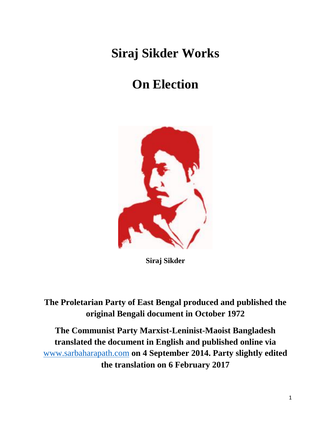## **Siraj Sikder Works**

## **On Election**



**Siraj Sikder**

**The Proletarian Party of East Bengal produced and published the original Bengali document in October 1972**

**The Communist Party Marxist-Leninist-Maoist Bangladesh translated the document in English and published online via**  [www.sarbaharapath.com](http://www.sarbaharapath.com/) **on 4 September 2014. Party slightly edited the translation on 6 February 2017**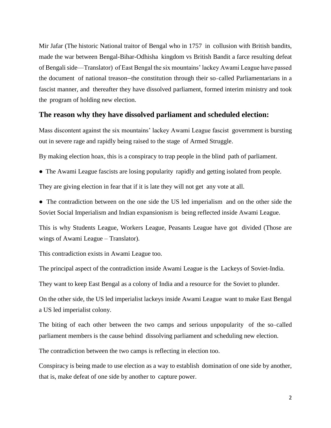Mir Jafar (The historic National traitor of Bengal who in 1757 in collusion with British bandits, made the war between Bengal-Bihar-Odhisha kingdom vs British Bandit a farce resulting defeat of Bengali side—Translator) of East Bengal the six mountains' lackey Awami League have passed the document of national treason—the constitution through their so-called Parliamentarians in a fascist manner, and thereafter they have dissolved parliament, formed interim ministry and took the program of holding new election.

## **The reason why they have dissolved parliament and scheduled election:**

Mass discontent against the six mountains' lackey Awami League fascist government is bursting out in severe rage and rapidly being raised to the stage of Armed Struggle.

By making election hoax, this is a conspiracy to trap people in the blind path of parliament.

• The Awami League fascists are losing popularity rapidly and getting isolated from people.

They are giving election in fear that if it is late they will not get any vote at all.

• The contradiction between on the one side the US led imperialism and on the other side the Soviet Social Imperialism and Indian expansionism is being reflected inside Awami League.

This is why Students League, Workers League, Peasants League have got divided (Those are wings of Awami League – Translator).

This contradiction exists in Awami League too.

The principal aspect of the contradiction inside Awami League is the Lackeys of Soviet-India.

They want to keep East Bengal as a colony of India and a resource for the Soviet to plunder.

On the other side, the US led imperialist lackeys inside Awami League want to make East Bengal a US led imperialist colony.

The biting of each other between the two camps and serious unpopularity of the so-called parliament members is the cause behind dissolving parliament and scheduling new election.

The contradiction between the two camps is reflecting in election too.

Conspiracy is being made to use election as a way to establish domination of one side by another, that is, make defeat of one side by another to capture power.